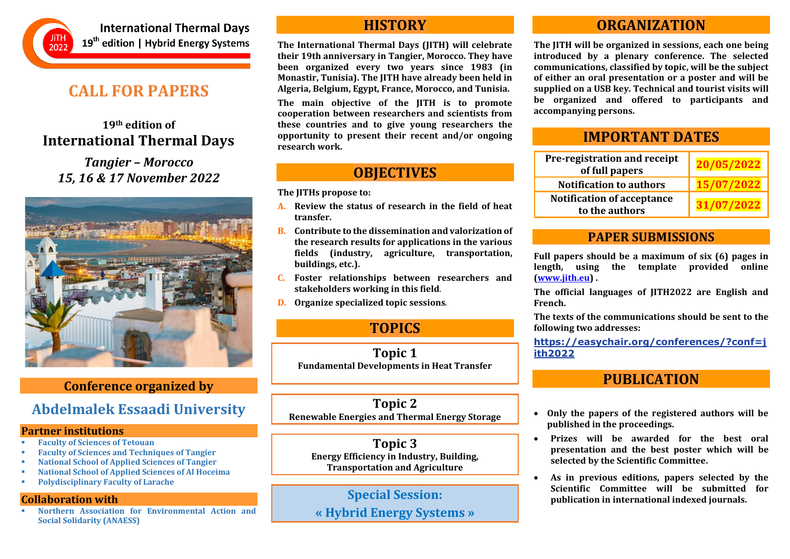

**International Thermal Davs** 19<sup>th</sup> edition | Hybrid Energy Systems

# **CALL FOR PAPERS**

### **19th edition of International Thermal Days**

*Tangier – Morocco 15, 16 & 17 November 2022*



### **Conference organized by**

## **Abdelmalek Essaadi University**

#### **Partner institutions**

- **Faculty of Sciences of Tetouan**
- **Faculty of Sciences and Techniques of Tangier**
- **National School of Applied Sciences of Tangier**
- **National School of Applied Sciences of Al Hoceima**
- **Polydisciplinary Faculty of Larache**

### **Collaboration with**

**Northern Association for Environmental Action and Social Solidarity (ANAESS)**

### **HISTORY**

**The International Thermal Days (JITH) will celebrate their 19th anniversary in Tangier, Morocco. They have been organized every two years since 1983 (in Monastir, Tunisia). The JITH have already been held in Algeria, Belgium, Egypt, France, Morocco, and Tunisia.**

**The main objective of the JITH is to promote cooperation between researchers and scientists from these countries and to give young researchers the opportunity to present their recent and/or ongoing research work.**

# **OBJECTIVES**

**The JITHs propose to:**

- **A. Review the status of research in the field of heat transfer.**
- **B. Contribute to the dissemination and valorization of the research results for applications in the various fields (industry, agriculture, transportation, buildings, etc.).**
- **C. Foster relationships between researchers and stakeholders working in this field**.
- **D. Organize specialized topic sessions**.

# **TOPICS**

**Topic 1 Fundamental Developments in Heat Transfer** 

**Topic 2 Renewable Energies and Thermal Energy Storage**

**Topic 3 Energy Efficiency in Industry, Building, Transportation and Agriculture**

**Special Session: « Hybrid Energy Systems »**

## **ORGANIZATION**

**The JITH will be organized in sessions, each one being introduced by a plenary conference. The selected communications, classified by topic, will be the subject of either an oral presentation or a poster and will be supplied on a USB key. Technical and tourist visits will be organized and offered to participants and accompanying persons.**

## **IMPORTANT DATES**

| Pre-registration and receipt<br>of full papers      | 20/05/2022 |
|-----------------------------------------------------|------------|
| <b>Notification to authors</b>                      | 15/07/2022 |
| <b>Notification of acceptance</b><br>to the authors | 31/07/2022 |

### **PAPER SUBMISSIONS**

**Full papers should be a maximum of six (6) pages in length, using the template provided online [\(www.jith.eu\)](http://www.jith.eu/) .**

**The official languages of JITH2022 are English and French.**

**The texts of the communications should be sent to the following two addresses:**

**[https://easychair.org/conferences/?conf=j](https://easychair.org/conferences/?conf=jith2022) [ith2022](https://easychair.org/conferences/?conf=jith2022)**

## **PUBLICATION**

- **Only the papers of the registered authors will be published in the proceedings.**
- **Prizes will be awarded for the best oral presentation and the best poster which will be selected by the Scientific Committee.**
- **As in previous editions, papers selected by the Scientific Committee will be submitted for publication in international indexed journals.**